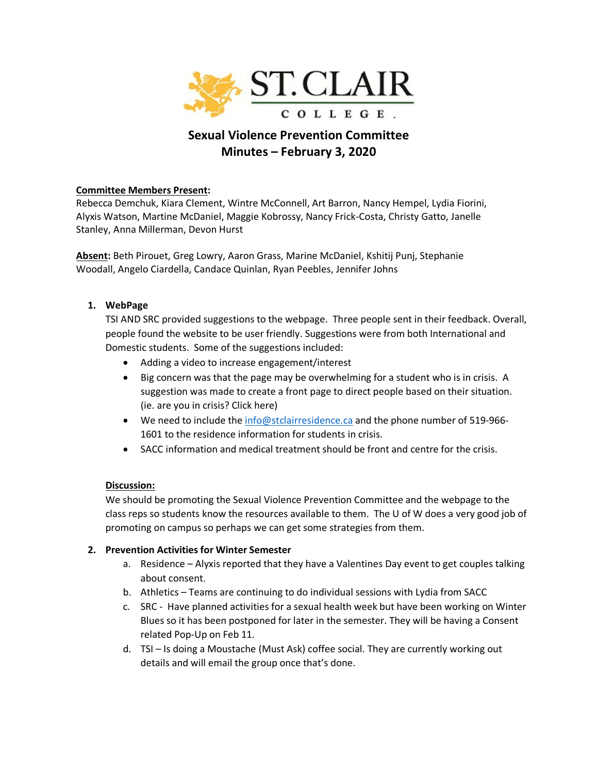

# **Sexual Violence Prevention Committee Minutes – February 3, 2020**

## **Committee Members Present:**

Rebecca Demchuk, Kiara Clement, Wintre McConnell, Art Barron, Nancy Hempel, Lydia Fiorini, Alyxis Watson, Martine McDaniel, Maggie Kobrossy, Nancy Frick-Costa, Christy Gatto, Janelle Stanley, Anna Millerman, Devon Hurst

**Absent:** Beth Pirouet, Greg Lowry, Aaron Grass, Marine McDaniel, Kshitij Punj, Stephanie Woodall, Angelo Ciardella, Candace Quinlan, Ryan Peebles, Jennifer Johns

# **1. WebPage**

TSI AND SRC provided suggestions to the webpage. Three people sent in their feedback. Overall, people found the website to be user friendly. Suggestions were from both International and Domestic students. Some of the suggestions included:

- Adding a video to increase engagement/interest
- Big concern was that the page may be overwhelming for a student who is in crisis. A suggestion was made to create a front page to direct people based on their situation. (ie. are you in crisis? Click here)
- We need to include the [info@stclairresidence.ca](mailto:info@stclairresidence.ca) and the phone number of 519-966- 1601 to the residence information for students in crisis.
- SACC information and medical treatment should be front and centre for the crisis.

## **Discussion:**

We should be promoting the Sexual Violence Prevention Committee and the webpage to the class reps so students know the resources available to them. The U of W does a very good job of promoting on campus so perhaps we can get some strategies from them.

## **2. Prevention Activities for Winter Semester**

- a. Residence Alyxis reported that they have a Valentines Day event to get couples talking about consent.
- b. Athletics Teams are continuing to do individual sessions with Lydia from SACC
- c. SRC Have planned activities for a sexual health week but have been working on Winter Blues so it has been postponed for later in the semester. They will be having a Consent related Pop-Up on Feb 11.
- d. TSI Is doing a Moustache (Must Ask) coffee social. They are currently working out details and will email the group once that's done.